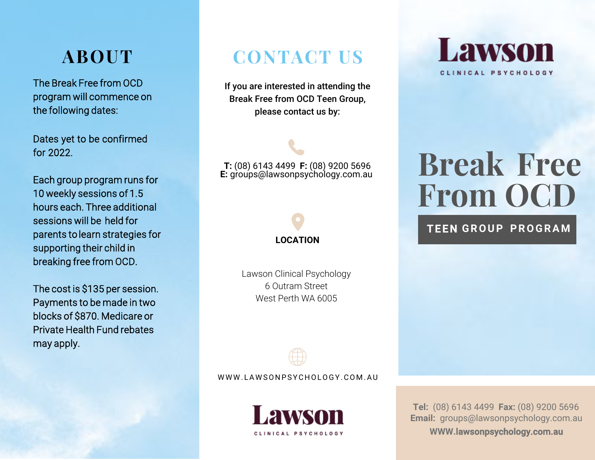# **ABOUT**

The Break Free from OCD program will commence on the following dates:

Dates yet to be confirmed for 2022.

Each group program runs for 10 weekly sessions of 1.5 hours each. Three additional sessions will be held for parents to learn strategies for supporting their child in breaking free from OCD.

The cost is \$135 per session. Payments to be made in two blocks of \$870. Medicare or Private Health Fund rebates may apply.

## **CONTACT US**

If you are interested in attending the Break Free from OCD Teen Group, please contact us by:

**T:** (08) 6143 4499 **F:** (08) 9200 5696 **E:** groups@lawsonpsychology.com.au

# **LOCATION**

Lawson Clinical Psychology 6 Outram Street West Perth WA 6005



WWW.LAWSONPSYCHOLOGY.COM.AU



**Lawson** CLINICAL PSYCHOLOGY

# **Break Free From OCD**

#### **TEEN GROUP PROGRAM**

**Tel:** (08) 6143 4499 **Fax:** (08) 9200 5696 **Email:**  groups@lawsonpsychology.com.au **WWW.**lawsonpsychology.com.au